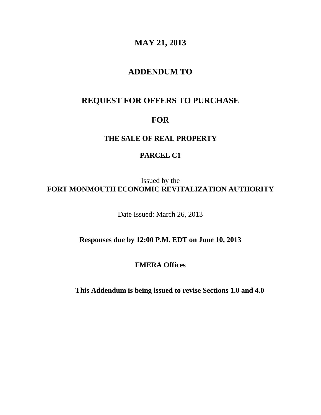# **MAY 21, 2013**

## **ADDENDUM TO**

## **REQUEST FOR OFFERS TO PURCHASE**

# **FOR**

### **THE SALE OF REAL PROPERTY**

### **PARCEL C1**

Issued by the **FORT MONMOUTH ECONOMIC REVITALIZATION AUTHORITY**

Date Issued: March 26, 2013

### **Responses due by 12:00 P.M. EDT on June 10, 2013**

## **FMERA Offices**

**This Addendum is being issued to revise Sections 1.0 and 4.0**